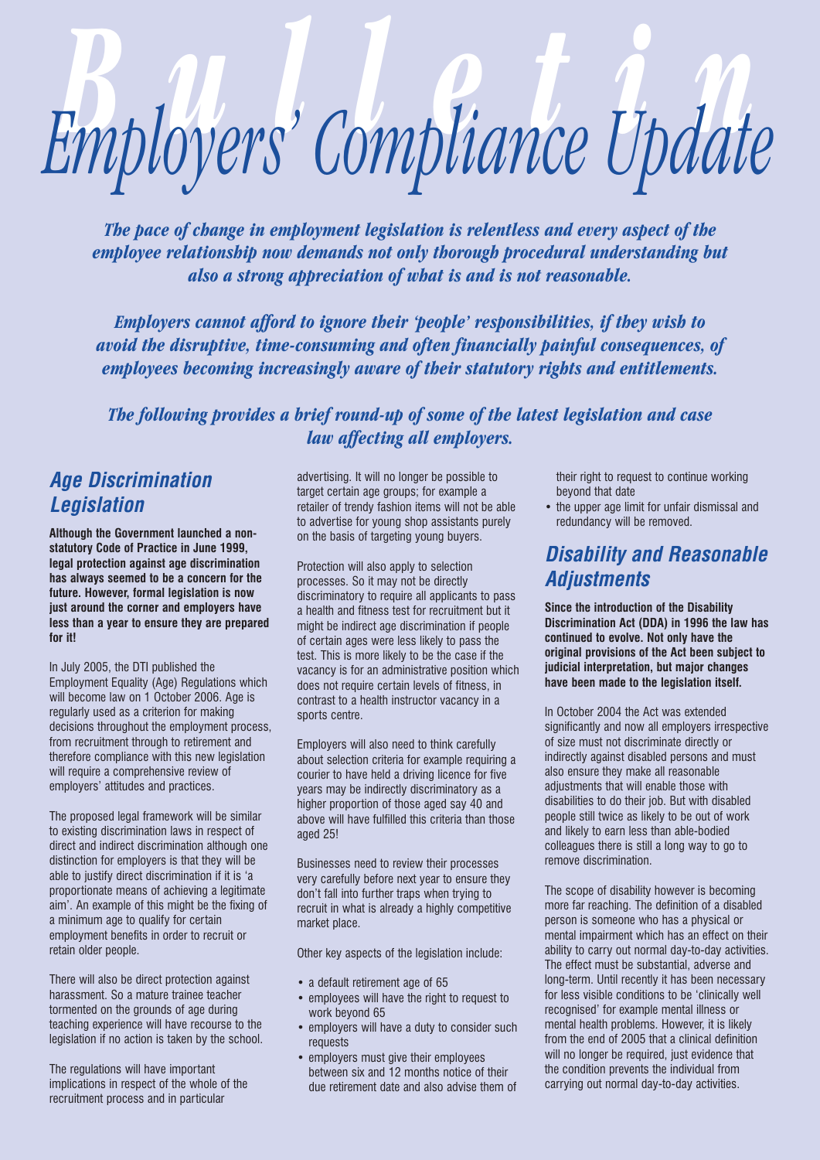# *Bulletin Employers' Compliance Update*

*The pace of change in employment legislation is relentless and every aspect of the employee relationship now demands not only thorough procedural understanding but also a strong appreciation of what is and is not reasonable.*

*Employers cannot afford to ignore their 'people' responsibilities, if they wish to avoid the disruptive, time-consuming and often financially painful consequences, of employees becoming increasingly aware of their statutory rights and entitlements.*

*The following provides a brief round-up of some of the latest legislation and case law affecting all employers.*

## *Age Discrimination Legislation*

**Although the Government launched a nonstatutory Code of Practice in June 1999, legal protection against age discrimination has always seemed to be a concern for the future. However, formal legislation is now just around the corner and employers have less than a year to ensure they are prepared for it!**

In July 2005, the DTI published the Employment Equality (Age) Regulations which will become law on 1 October 2006. Age is regularly used as a criterion for making decisions throughout the employment process, from recruitment through to retirement and therefore compliance with this new legislation will require a comprehensive review of employers' attitudes and practices.

The proposed legal framework will be similar to existing discrimination laws in respect of direct and indirect discrimination although one distinction for employers is that they will be able to justify direct discrimination if it is 'a proportionate means of achieving a legitimate aim'. An example of this might be the fixing of a minimum age to qualify for certain employment benefits in order to recruit or retain older people.

There will also be direct protection against harassment. So a mature trainee teacher tormented on the grounds of age during teaching experience will have recourse to the legislation if no action is taken by the school.

The regulations will have important implications in respect of the whole of the recruitment process and in particular

advertising. It will no longer be possible to target certain age groups; for example a retailer of trendy fashion items will not be able to advertise for young shop assistants purely on the basis of targeting young buyers.

Protection will also apply to selection processes. So it may not be directly discriminatory to require all applicants to pass a health and fitness test for recruitment but it might be indirect age discrimination if people of certain ages were less likely to pass the test. This is more likely to be the case if the vacancy is for an administrative position which does not require certain levels of fitness, in contrast to a health instructor vacancy in a sports centre.

Employers will also need to think carefully about selection criteria for example requiring a courier to have held a driving licence for five years may be indirectly discriminatory as a higher proportion of those aged say 40 and above will have fulfilled this criteria than those aged 25!

Businesses need to review their processes very carefully before next year to ensure they don't fall into further traps when trying to recruit in what is already a highly competitive market place.

Other key aspects of the legislation include:

- a default retirement age of 65
- employees will have the right to request to work beyond 65
- employers will have a duty to consider such requests
- employers must give their employees between six and 12 months notice of their due retirement date and also advise them of

their right to request to continue working beyond that date

• the upper age limit for unfair dismissal and redundancy will be removed.

### *Disability and Reasonable Adjustments*

**Since the introduction of the Disability Discrimination Act (DDA) in 1996 the law has continued to evolve. Not only have the original provisions of the Act been subject to judicial interpretation, but major changes have been made to the legislation itself.** 

In October 2004 the Act was extended significantly and now all employers irrespective of size must not discriminate directly or indirectly against disabled persons and must also ensure they make all reasonable adjustments that will enable those with disabilities to do their job. But with disabled people still twice as likely to be out of work and likely to earn less than able-bodied colleagues there is still a long way to go to remove discrimination.

The scope of disability however is becoming more far reaching. The definition of a disabled person is someone who has a physical or mental impairment which has an effect on their ability to carry out normal day-to-day activities. The effect must be substantial, adverse and long-term. Until recently it has been necessary for less visible conditions to be 'clinically well recognised' for example mental illness or mental health problems. However, it is likely from the end of 2005 that a clinical definition will no longer be required, just evidence that the condition prevents the individual from carrying out normal day-to-day activities.